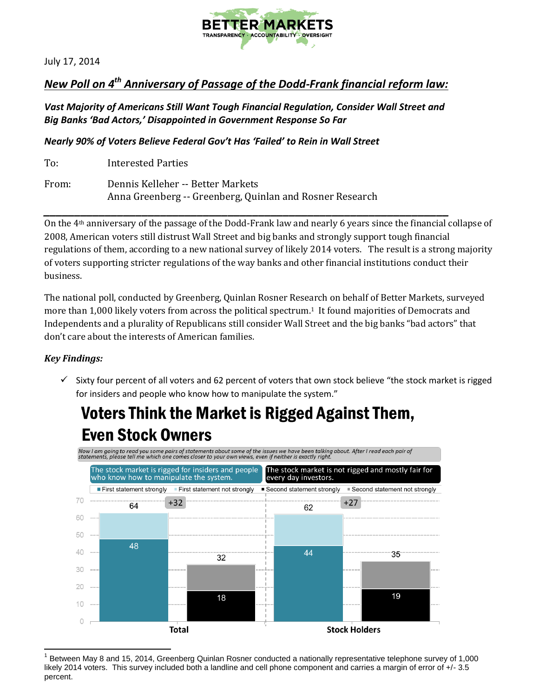

July 17, 2014

### *New Poll on 4th Anniversary of Passage of the Dodd-Frank financial reform law:*

### *Vast Majority of Americans Still Want Tough Financial Regulation, Consider Wall Street and Big Banks 'Bad Actors,' Disappointed in Government Response So Far*

*Nearly 90% of Voters Believe Federal Gov't Has 'Failed' to Rein in Wall Street*

To: Interested Parties From: Dennis Kelleher -- Better Markets Anna Greenberg -- Greenberg, Quinlan and Rosner Research

*\_\_\_\_\_\_\_\_\_\_\_\_\_\_\_\_\_\_\_\_\_\_\_\_\_\_\_\_\_\_\_\_\_\_\_\_\_\_\_\_\_\_\_\_\_\_\_\_\_\_\_\_\_\_\_\_\_\_\_\_\_\_\_\_\_\_* On the 4th anniversary of the passage of the Dodd-Frank law and nearly 6 years since the financial collapse of 2008, American voters still distrust Wall Street and big banks and strongly support tough financial regulations of them, according to a new national survey of likely 2014 voters. The result is a strong majority of voters supporting stricter regulations of the way banks and other financial institutions conduct their business.

The national poll, conducted by Greenberg, Quinlan Rosner Research on behalf of Better Markets, surveyed more than 1,000 likely voters from across the political spectrum.<sup>1</sup> It found majorities of Democrats and Independents and a plurality of Republicans still consider Wall Street and the big banks "bad actors" that don't care about the interests of American families.

### *Key Findings:*

 $\checkmark$  Sixty four percent of all voters and 62 percent of voters that own stock believe "the stock market is rigged for insiders and people who know how to manipulate the system."

### Voters Think the Market is Rigged Against Them, **Even Stock Owners**



 $\overline{a}$ 1 Between May 8 and 15, 2014, Greenberg Quinlan Rosner conducted a nationally representative telephone survey of 1,000 likely 2014 voters. This survey included both a landline and cell phone component and carries a margin of error of +/- 3.5 percent.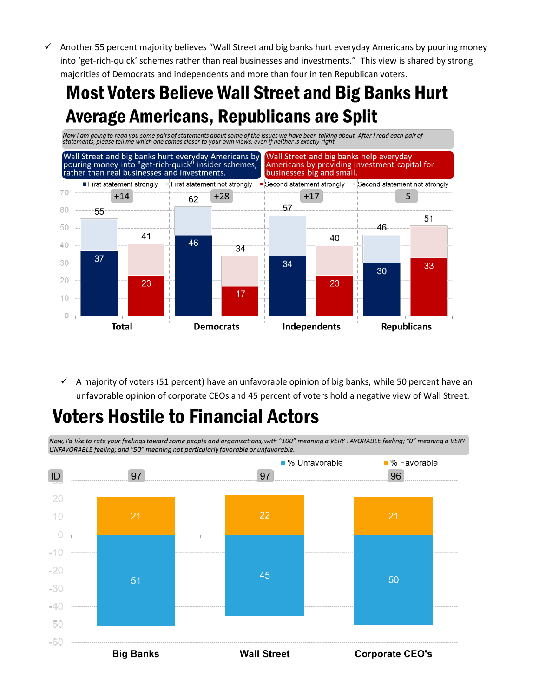$\checkmark$  Another 55 percent majority believes "Wall Street and big banks hurt everyday Americans by pouring money into 'get-rich-quick' schemes rather than real businesses and investments." This view is shared by strong majorities of Democrats and independents and more than four in ten Republican voters.

## **Most Voters Believe Wall Street and Big Banks Hurt Average Americans, Republicans are Split**



 $\checkmark$  A majority of voters (51 percent) have an unfavorable opinion of big banks, while 50 percent have an unfavorable opinion of corporate CEOs and 45 percent of voters hold a negative view of Wall Street.

# **Voters Hostile to Financial Actors**

Now, I'd like to rate your feelings toward some people and organizations, with "100" meaning a VERY FAVORABLE feeling; "0" meaning a VERY UNFAVORABLE feeling; and "50" meaning not particularly favorable or unfavorable.

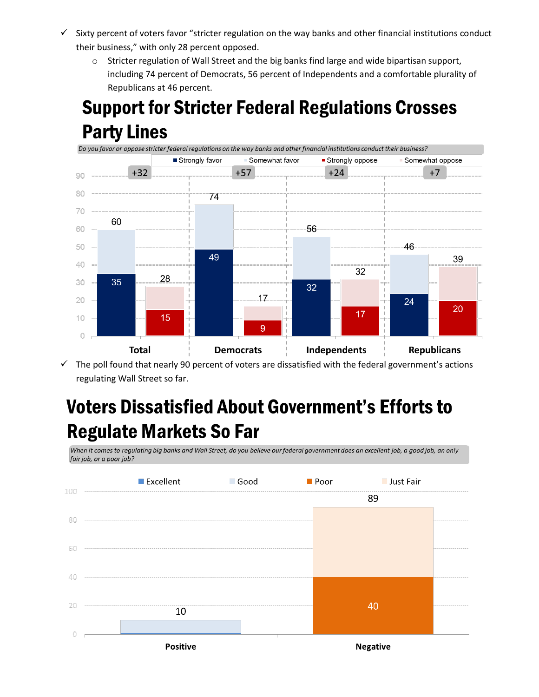- $\checkmark$  Sixty percent of voters favor "stricter regulation on the way banks and other financial institutions conduct their business," with only 28 percent opposed.
	- $\circ$  Stricter regulation of Wall Street and the big banks find large and wide bipartisan support, including 74 percent of Democrats, 56 percent of Independents and a comfortable plurality of Republicans at 46 percent.

# **Support for Stricter Federal Regulations Crosses Party Lines**



 $\checkmark$  The poll found that nearly 90 percent of voters are dissatisfied with the federal government's actions regulating Wall Street so far.

# **Voters Dissatisfied About Government's Efforts to Regulate Markets So Far**

When it comes to regulating big banks and Wall Street, do you believe our federal government does an excellent job, a good job, an only fair job, or a poor job?